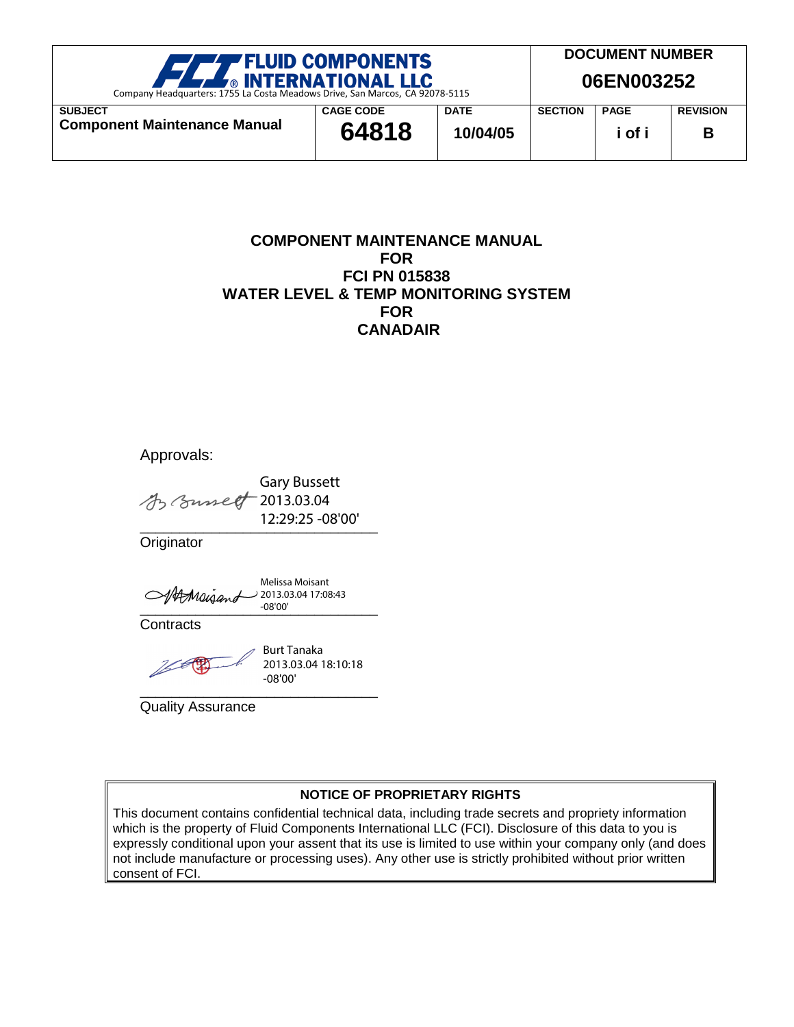| <b>FLAT FLUID COMPONENTS</b>                                                 |                  |             | <b>DOCUMENT NUMBER</b> |             |                 |
|------------------------------------------------------------------------------|------------------|-------------|------------------------|-------------|-----------------|
| Company Headquarters: 1755 La Costa Meadows Drive, San Marcos, CA 92078-5115 |                  |             |                        | 06EN003252  |                 |
| <b>SUBJECT</b>                                                               | <b>CAGE CODE</b> | <b>DATE</b> | <b>SECTION</b>         | <b>PAGE</b> | <b>REVISION</b> |
| <b>Component Maintenance Manual</b>                                          | 64818            | 10/04/05    |                        | i of i      | В               |

#### **COMPONENT MAINTENANCE MANUAL FOR FCI PN 015838 WATER LEVEL & TEMP MONITORING SYSTEM FOR CANADAIR**

Approvals: Gary Bussett B Bussett 2013.03.04 12:29:25 -08'00' \_\_\_\_\_\_\_\_\_\_\_\_\_\_\_\_\_\_\_\_\_\_\_\_\_\_\_\_\_\_ **Originator** Melissa Moisant 2013.03.04 17:08:43 -08'00'  $-08'00'$ **Contracts** Burt Tanaka 2013.03.04 18:10:18 -08'00' \_\_\_\_\_\_\_\_\_\_\_\_\_\_\_\_\_\_\_\_\_\_\_\_\_\_\_\_\_\_

Quality Assurance

#### **NOTICE OF PROPRIETARY RIGHTS**

 expressly conditional upon your assent that its use is limited to use within your company only (and does This document contains confidential technical data, including trade secrets and propriety information which is the property of Fluid Components International LLC (FCI). Disclosure of this data to you is not include manufacture or processing uses). Any other use is strictly prohibited without prior written consent of FCI.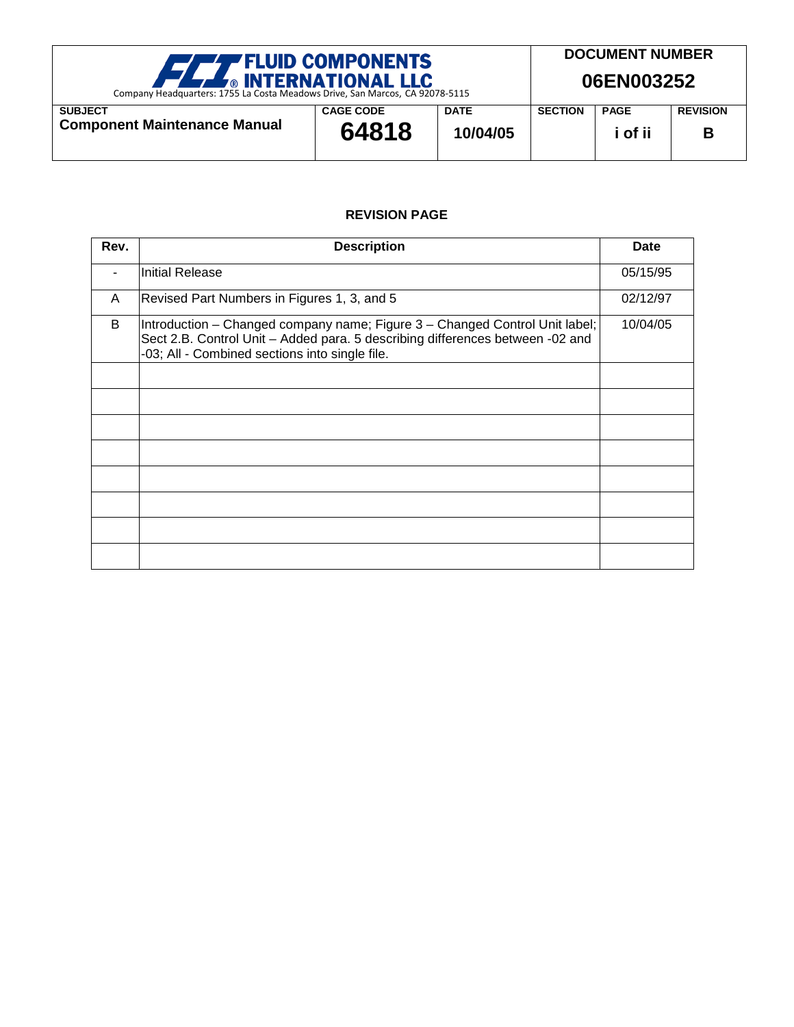| <b>FLAT FLUID COMPONENTS</b>                                                 |                  |             | <b>DOCUMENT NUMBER</b> |             |                 |
|------------------------------------------------------------------------------|------------------|-------------|------------------------|-------------|-----------------|
| Company Headquarters: 1755 La Costa Meadows Drive, San Marcos, CA 92078-5115 |                  |             | 06EN003252             |             |                 |
| <b>SUBJECT</b>                                                               | <b>CAGE CODE</b> | <b>DATE</b> | <b>SECTION</b>         | <b>PAGE</b> | <b>REVISION</b> |
| <b>Component Maintenance Manual</b>                                          | 64818            | 10/04/05    |                        | i of ii     | В               |

### **REVISION PAGE**

| Rev. | <b>Description</b>                                                                                                                                                                                             | Date     |
|------|----------------------------------------------------------------------------------------------------------------------------------------------------------------------------------------------------------------|----------|
|      | <b>Initial Release</b>                                                                                                                                                                                         | 05/15/95 |
| A    | Revised Part Numbers in Figures 1, 3, and 5                                                                                                                                                                    | 02/12/97 |
| B    | Introduction - Changed company name; Figure 3 - Changed Control Unit label;<br>Sect 2.B. Control Unit - Added para. 5 describing differences between -02 and<br>-03; All - Combined sections into single file. | 10/04/05 |
|      |                                                                                                                                                                                                                |          |
|      |                                                                                                                                                                                                                |          |
|      |                                                                                                                                                                                                                |          |
|      |                                                                                                                                                                                                                |          |
|      |                                                                                                                                                                                                                |          |
|      |                                                                                                                                                                                                                |          |
|      |                                                                                                                                                                                                                |          |
|      |                                                                                                                                                                                                                |          |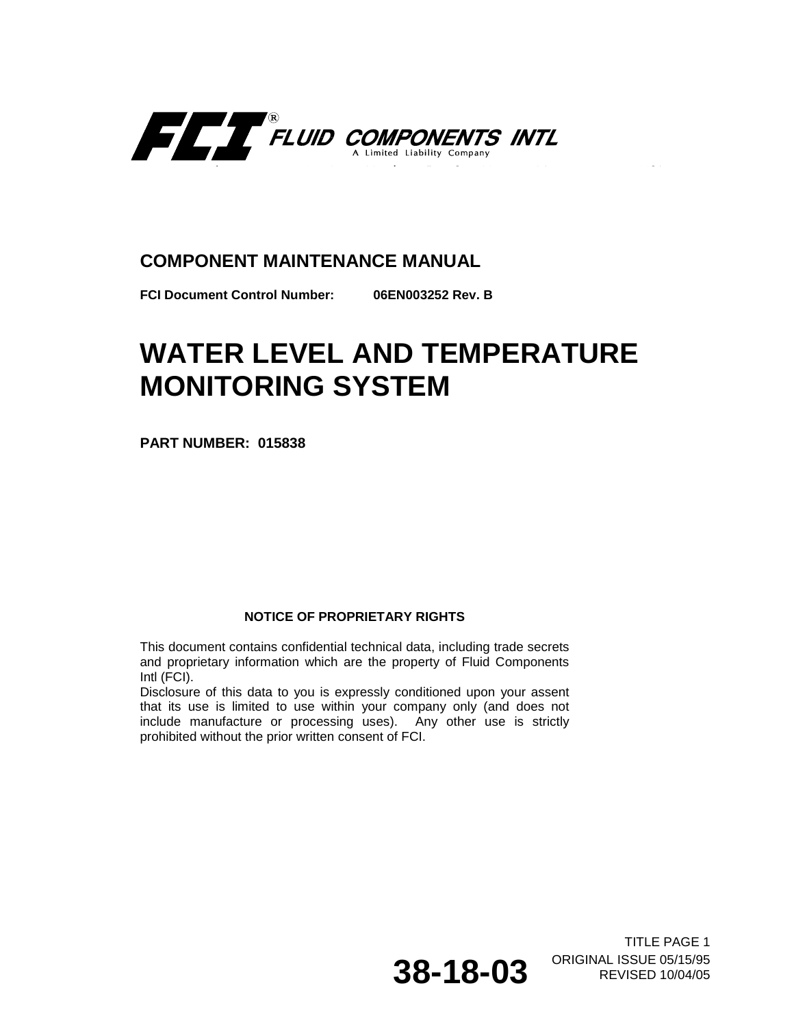

### **COMPONENT MAINTENANCE MANUAL**

**FCI Document Control Number: 06EN003252 Rev. B** 

# **WATER LEVEL AND TEMPERATURE MONITORING SYSTEM**

**PART NUMBER: 015838** 

#### **NOTICE OF PROPRIETARY RIGHTS**

This document contains confidential technical data, including trade secrets and proprietary information which are the property of Fluid Components Intl (FCI).

 include manufacture or processing uses). Any other use is strictly prohibited without the prior written consent of FCI. Disclosure of this data to you is expressly conditioned upon your assent that its use is limited to use within your company only (and does not

**38-18-03 ORIGINAL ISSUE 05/15/95** 

TITLE PAGE 1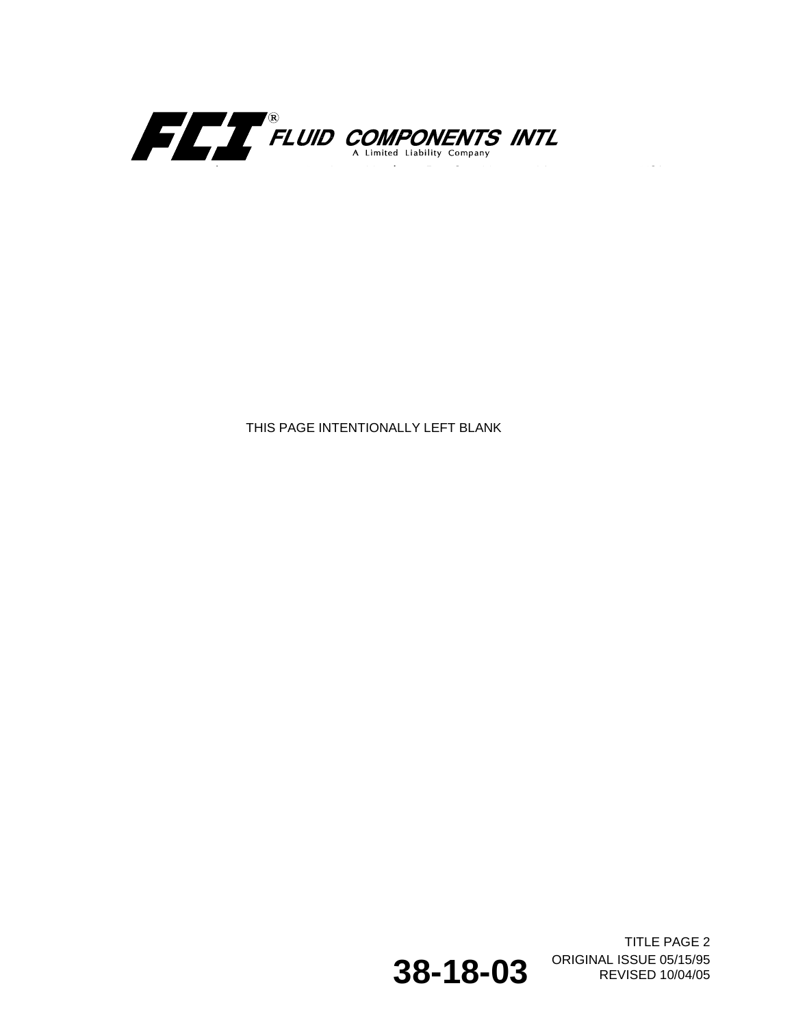

THIS PAGE INTENTIONALLY LEFT BLANK

[TITLE PAGE 2](#page-15-0)  ORIGINAL ISSUE 05/15/95 **38-18-03** REVISED 10/04/05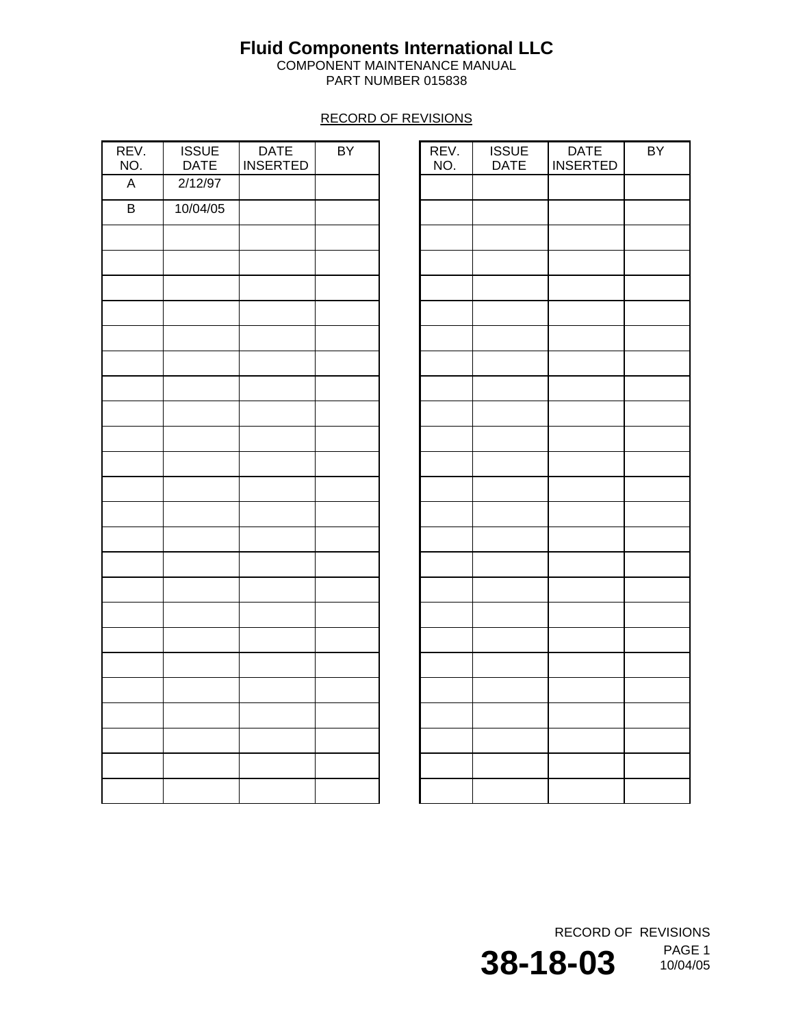COMPONENT MAINTENANCE MANUAL PART NUMBER 015838

#### RECORD OF REVISIONS

| REV.<br>NO.    | <b>ISSUE</b><br>DATE | DATE<br>INSERTED | BY | REV.<br>NO. | <b>ISSUE</b><br>DATE | DATE<br>INSERTED | BY |
|----------------|----------------------|------------------|----|-------------|----------------------|------------------|----|
| $\mathsf A$    | 2/12/97              |                  |    |             |                      |                  |    |
| $\overline{B}$ | 10/04/05             |                  |    |             |                      |                  |    |
|                |                      |                  |    |             |                      |                  |    |
|                |                      |                  |    |             |                      |                  |    |
|                |                      |                  |    |             |                      |                  |    |
|                |                      |                  |    |             |                      |                  |    |
|                |                      |                  |    |             |                      |                  |    |
|                |                      |                  |    |             |                      |                  |    |
|                |                      |                  |    |             |                      |                  |    |
|                |                      |                  |    |             |                      |                  |    |
|                |                      |                  |    |             |                      |                  |    |
|                |                      |                  |    |             |                      |                  |    |
|                |                      |                  |    |             |                      |                  |    |
|                |                      |                  |    |             |                      |                  |    |
|                |                      |                  |    |             |                      |                  |    |
|                |                      |                  |    |             |                      |                  |    |
|                |                      |                  |    |             |                      |                  |    |
|                |                      |                  |    |             |                      |                  |    |
|                |                      |                  |    |             |                      |                  |    |
|                |                      |                  |    |             |                      |                  |    |
|                |                      |                  |    |             |                      |                  |    |
|                |                      |                  |    |             |                      |                  |    |
|                |                      |                  |    |             |                      |                  |    |
|                |                      |                  |    |             |                      |                  |    |
|                |                      |                  |    |             |                      |                  |    |

 RECORD OF REVISIONS PAGE 1<br>10/04/05 **38-18-03**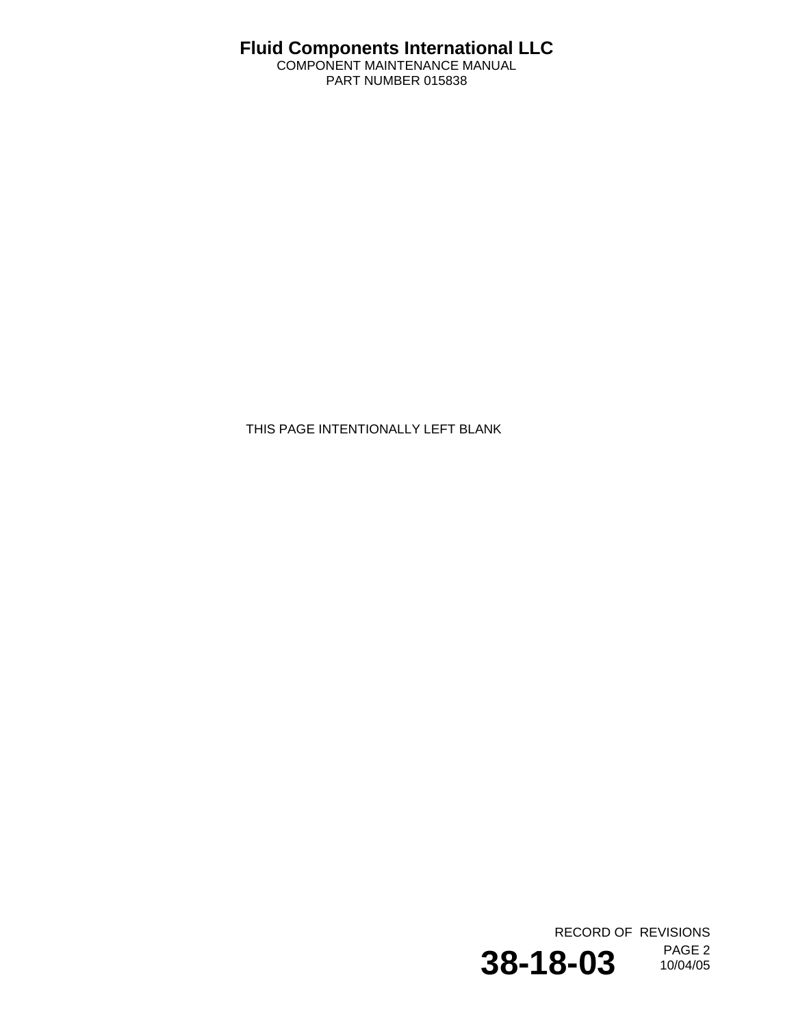COMPONENT MAINTENANCE MANUAL PART NUMBER 015838

THIS PAGE INTENTIONALLY LEFT BLANK

 RECORD OF REVISIONS **38-18-03 PAGE 2**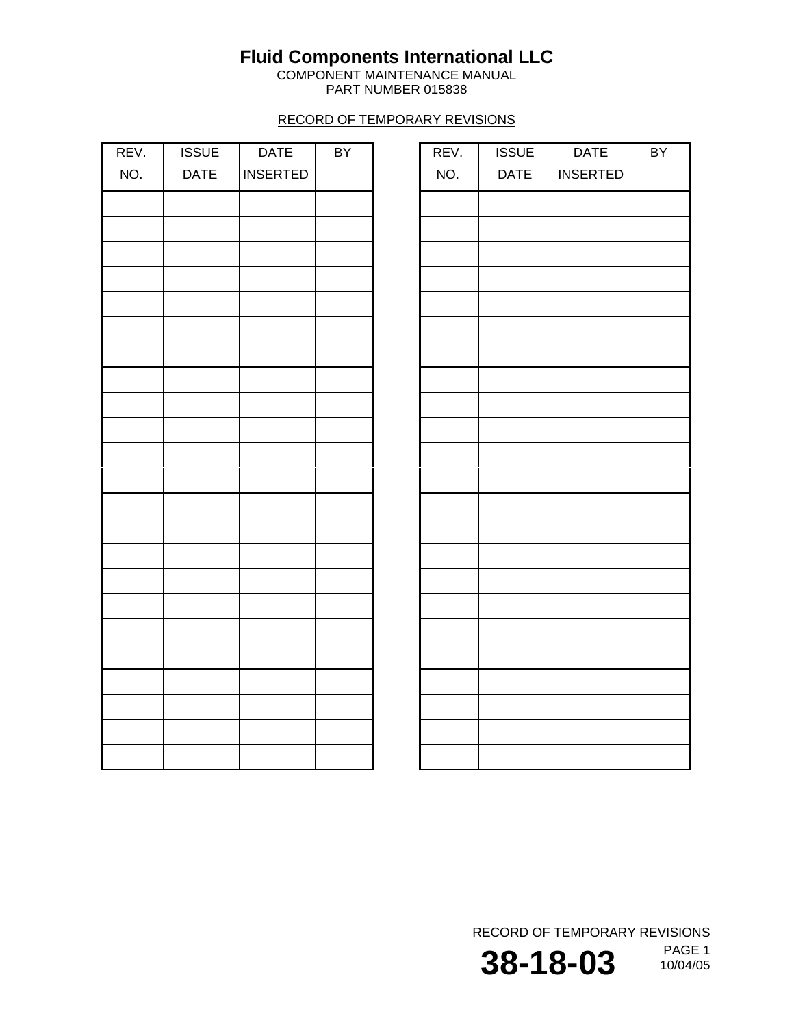COMPONENT MAINTENANCE MANUAL PART NUMBER 015838

#### RECORD OF TEMPORARY REVISIONS

| REV. | <b>ISSUE</b> | <b>DATE</b>     | BY | REV. | <b>ISSUE</b> | <b>DATE</b>     | BY |
|------|--------------|-----------------|----|------|--------------|-----------------|----|
| NO.  | <b>DATE</b>  | <b>INSERTED</b> |    | NO.  | <b>DATE</b>  | <b>INSERTED</b> |    |
|      |              |                 |    |      |              |                 |    |
|      |              |                 |    |      |              |                 |    |
|      |              |                 |    |      |              |                 |    |
|      |              |                 |    |      |              |                 |    |
|      |              |                 |    |      |              |                 |    |
|      |              |                 |    |      |              |                 |    |
|      |              |                 |    |      |              |                 |    |
|      |              |                 |    |      |              |                 |    |
|      |              |                 |    |      |              |                 |    |
|      |              |                 |    |      |              |                 |    |
|      |              |                 |    |      |              |                 |    |
|      |              |                 |    |      |              |                 |    |
|      |              |                 |    |      |              |                 |    |
|      |              |                 |    |      |              |                 |    |
|      |              |                 |    |      |              |                 |    |
|      |              |                 |    |      |              |                 |    |
|      |              |                 |    |      |              |                 |    |
|      |              |                 |    |      |              |                 |    |
|      |              |                 |    |      |              |                 |    |
|      |              |                 |    |      |              |                 |    |
|      |              |                 |    |      |              |                 |    |
|      |              |                 |    |      |              |                 |    |
|      |              |                 |    |      |              |                 |    |
|      |              |                 |    |      |              |                 |    |
|      |              |                 |    |      |              |                 |    |
|      |              |                 |    |      |              |                 |    |
|      |              |                 |    |      |              |                 |    |

RECORD OF TEMPORARY REVISIONS PAGE 1<br>10/04/05 **38-18-03** 10/04/05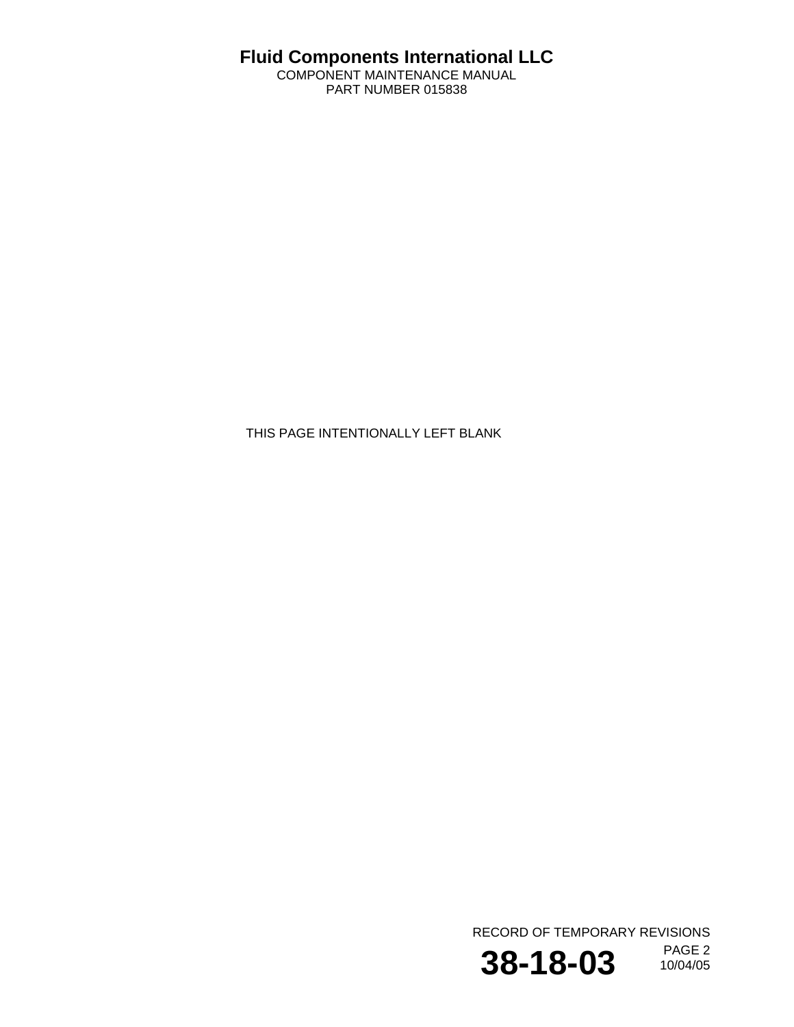COMPONENT MAINTENANCE MANUAL PART NUMBER 015838

THIS PAGE INTENTIONALLY LEFT BLANK

RECORD OF TEMPORARY REVISIONS



PAGE 2<br>10/04/05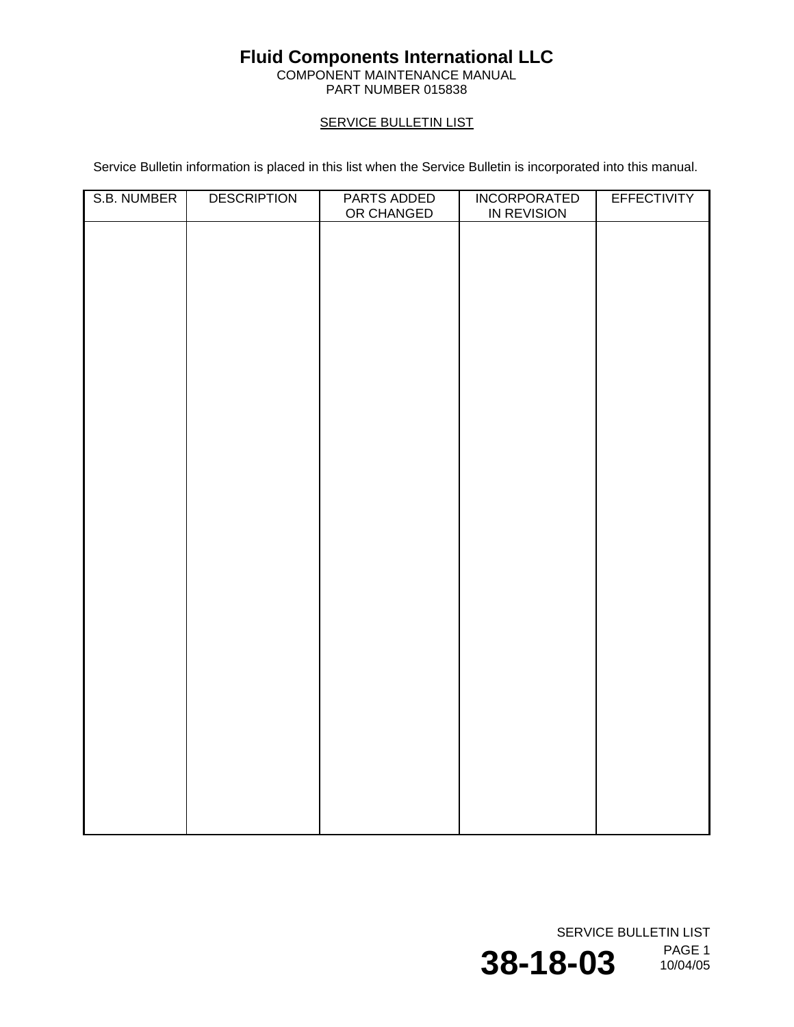COMPONENT MAINTENANCE MANUAL PART NUMBER 015838

#### SERVICE BULLETIN LIST

Service Bulletin information is placed in this list when the Service Bulletin is incorporated into this manual.

| S.B. NUMBER | <b>DESCRIPTION</b> | PARTS ADDED | <b>INCORPORATED</b> | <b>EFFECTIVITY</b> |
|-------------|--------------------|-------------|---------------------|--------------------|
|             |                    | OR CHANGED  | IN REVISION         |                    |
|             |                    |             |                     |                    |
|             |                    |             |                     |                    |
|             |                    |             |                     |                    |
|             |                    |             |                     |                    |
|             |                    |             |                     |                    |
|             |                    |             |                     |                    |
|             |                    |             |                     |                    |
|             |                    |             |                     |                    |
|             |                    |             |                     |                    |
|             |                    |             |                     |                    |
|             |                    |             |                     |                    |
|             |                    |             |                     |                    |
|             |                    |             |                     |                    |
|             |                    |             |                     |                    |
|             |                    |             |                     |                    |
|             |                    |             |                     |                    |
|             |                    |             |                     |                    |
|             |                    |             |                     |                    |
|             |                    |             |                     |                    |
|             |                    |             |                     |                    |
|             |                    |             |                     |                    |
|             |                    |             |                     |                    |
|             |                    |             |                     |                    |
|             |                    |             |                     |                    |
|             |                    |             |                     |                    |
|             |                    |             |                     |                    |
|             |                    |             |                     |                    |
|             |                    |             |                     |                    |
|             |                    |             |                     |                    |
|             |                    |             |                     |                    |
|             |                    |             |                     |                    |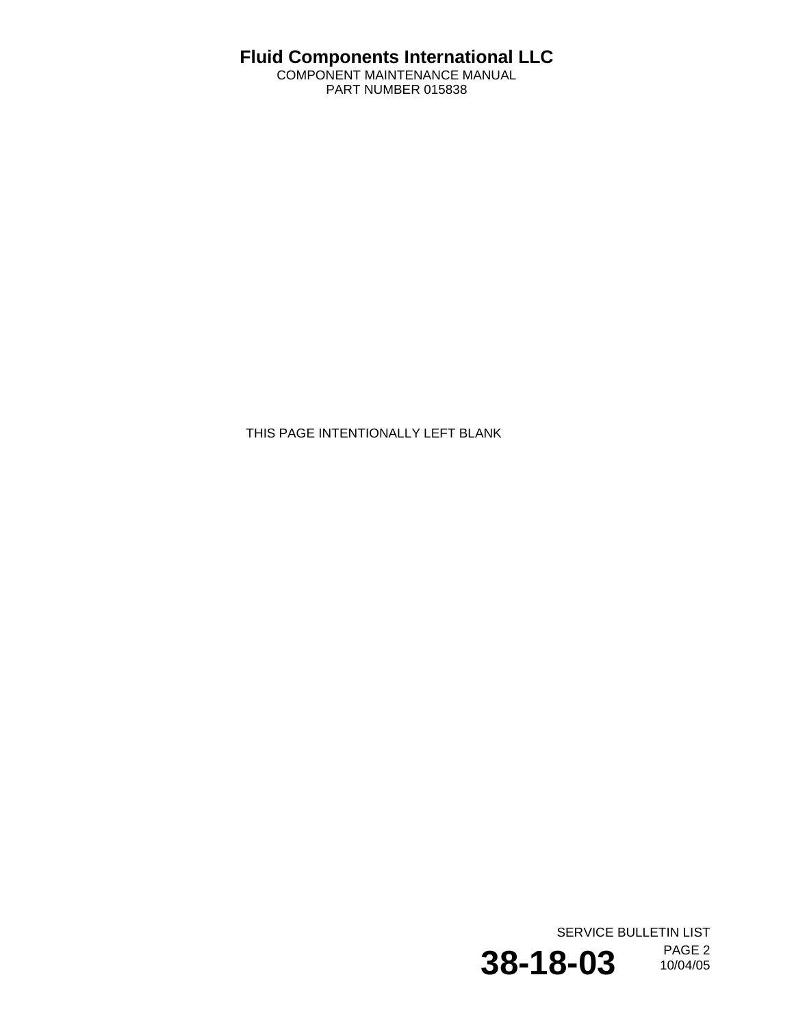COMPONENT MAINTENANCE MANUAL PART NUMBER 015838

THIS PAGE INTENTIONALLY LEFT BLANK

SERVICE BULLETIN LIST **38-18-03 PAGE 2**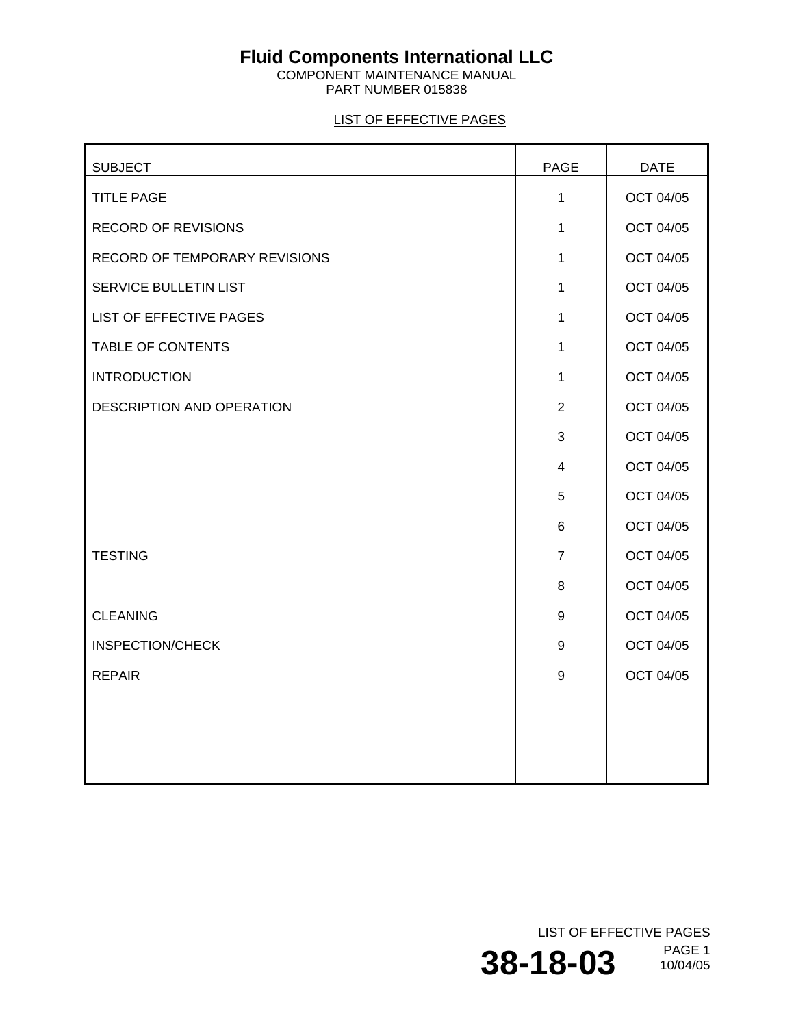COMPONENT MAINTENANCE MANUAL PART NUMBER 015838

#### LIST OF EFFECTIVE PAGES

| <b>SUBJECT</b>                | <b>PAGE</b>    | <b>DATE</b> |
|-------------------------------|----------------|-------------|
| <b>TITLE PAGE</b>             | 1              | OCT 04/05   |
| <b>RECORD OF REVISIONS</b>    | 1              | OCT 04/05   |
| RECORD OF TEMPORARY REVISIONS | 1              | OCT 04/05   |
| SERVICE BULLETIN LIST         | 1              | OCT 04/05   |
| LIST OF EFFECTIVE PAGES       | 1              | OCT 04/05   |
| TABLE OF CONTENTS             | 1              | OCT 04/05   |
| <b>INTRODUCTION</b>           | 1              | OCT 04/05   |
| DESCRIPTION AND OPERATION     | 2              | OCT 04/05   |
|                               | 3              | OCT 04/05   |
|                               | 4              | OCT 04/05   |
|                               | 5              | OCT 04/05   |
|                               | 6              | OCT 04/05   |
| <b>TESTING</b>                | $\overline{7}$ | OCT 04/05   |
|                               | 8              | OCT 04/05   |
| <b>CLEANING</b>               | 9              | OCT 04/05   |
| <b>INSPECTION/CHECK</b>       | 9              | OCT 04/05   |
| <b>REPAIR</b>                 | 9              | OCT 04/05   |
|                               |                |             |
|                               |                |             |
|                               |                |             |

LIST OF EFFECTIVE PAGES 38-18-03 **PAGE 1**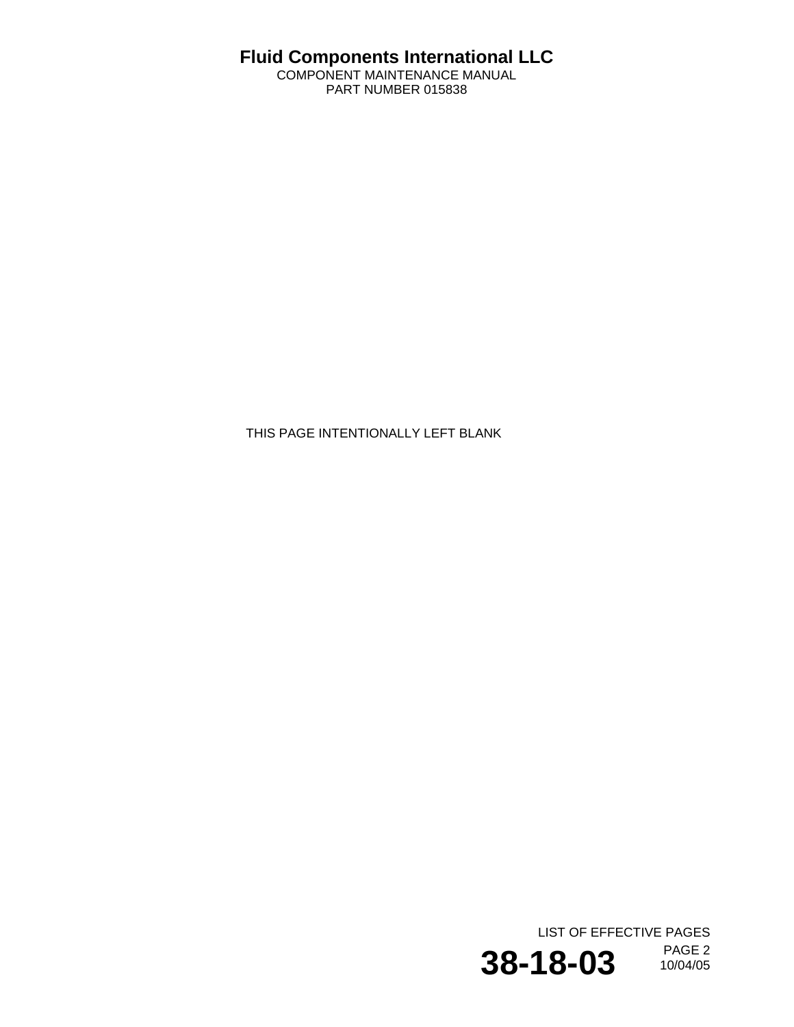COMPONENT MAINTENANCE MANUAL PART NUMBER 015838

THIS PAGE INTENTIONALLY LEFT BLANK

LIST OF EFFECTIVE PAGES **38-18-03 PAGE 2**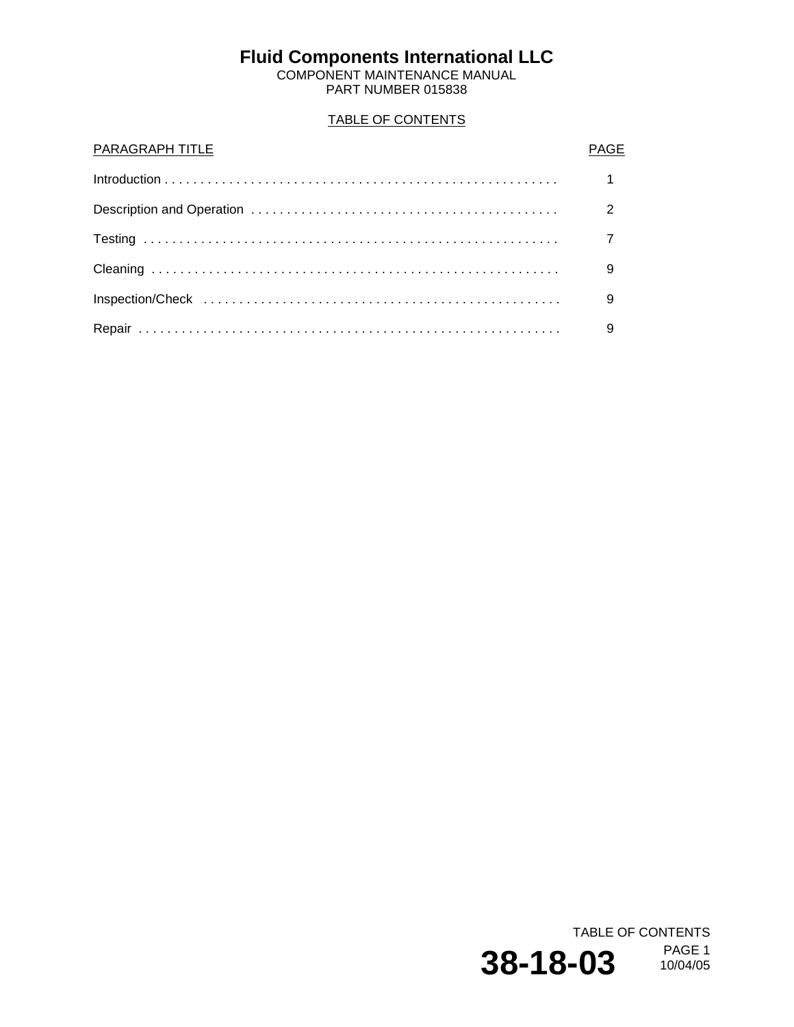COMPONENT MAINTENANCE MANUAL PART NUMBER 015838

#### TABLE OF CONTENTS

| PARAGRAPH TITLE |   |
|-----------------|---|
|                 |   |
|                 |   |
|                 |   |
|                 | 9 |
|                 | 9 |
|                 | 9 |

TABLE OF CONTENTS [PAGE 1](#page-14-0)<br>10/04/05 **38-18-03**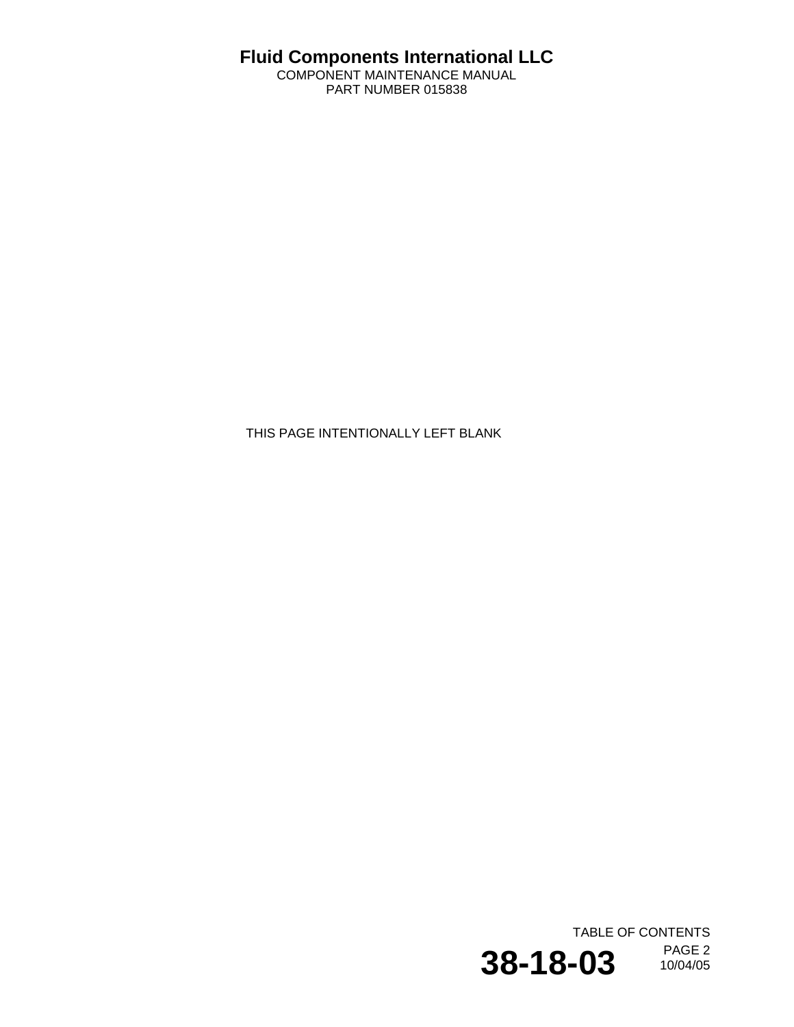COMPONENT MAINTENANCE MANUAL PART NUMBER 015838

THIS PAGE INTENTIONALLY LEFT BLANK

TABLE OF CONTENTS **38-18-03 PAGE 2**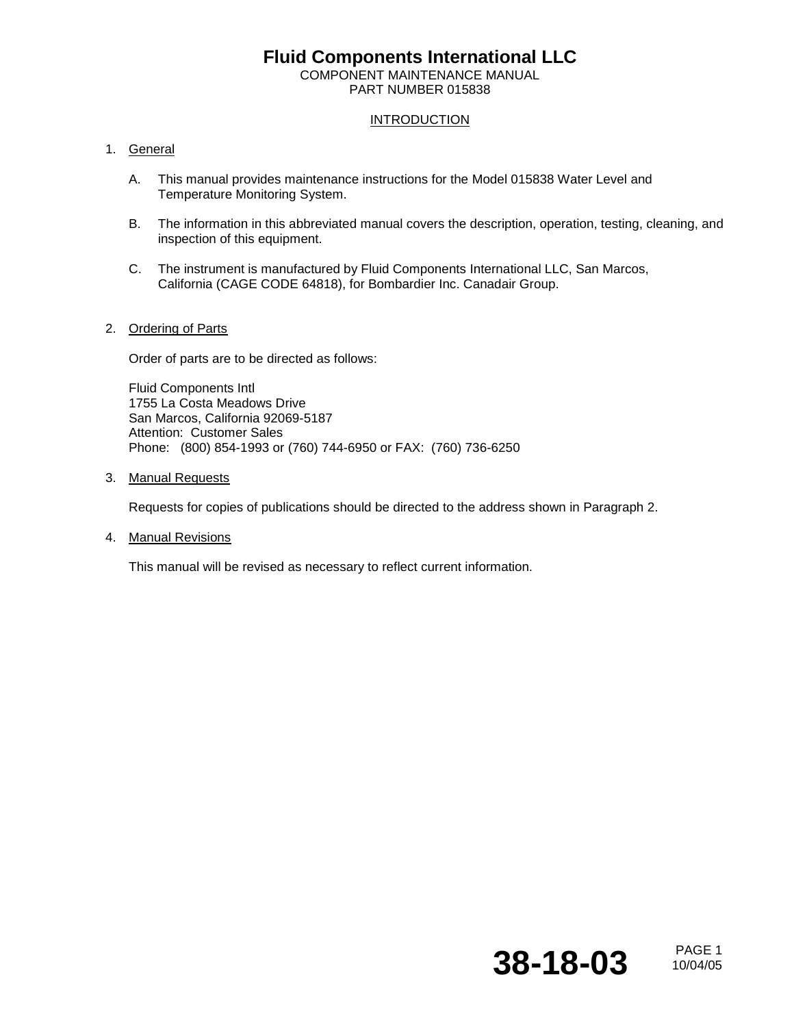COMPONENT MAINTENANCE MANUAL PART NUMBER 015838

#### **INTRODUCTION**

#### <span id="page-14-0"></span>1. General

- A. This manual provides maintenance instructions for the Model 015838 Water Level and Temperature Monitoring System.
- B. The information in this abbreviated manual covers the description, operation, testing, cleaning, and inspection of this equipment.
- C. The instrument is manufactured by Fluid Components International LLC, San Marcos, California (CAGE CODE 64818), for Bombardier Inc. Canadair Group.

#### 2. Ordering of Parts

Order of parts are to be directed as follows:

 Attention: Customer Sales Phone: (800) 854-1993 or (760) 744-6950 or FAX: (760) 736-6250 Fluid Components Intl 1755 La Costa Meadows Drive San Marcos, California 92069-5187

#### 3. Manual Requests

Requests for copies of publications should be directed to the address shown in Paragraph 2.

4. Manual Revisions

This manual will be revised as necessary to reflect current information.

**38-18-03** 10/04/05

PAGE 1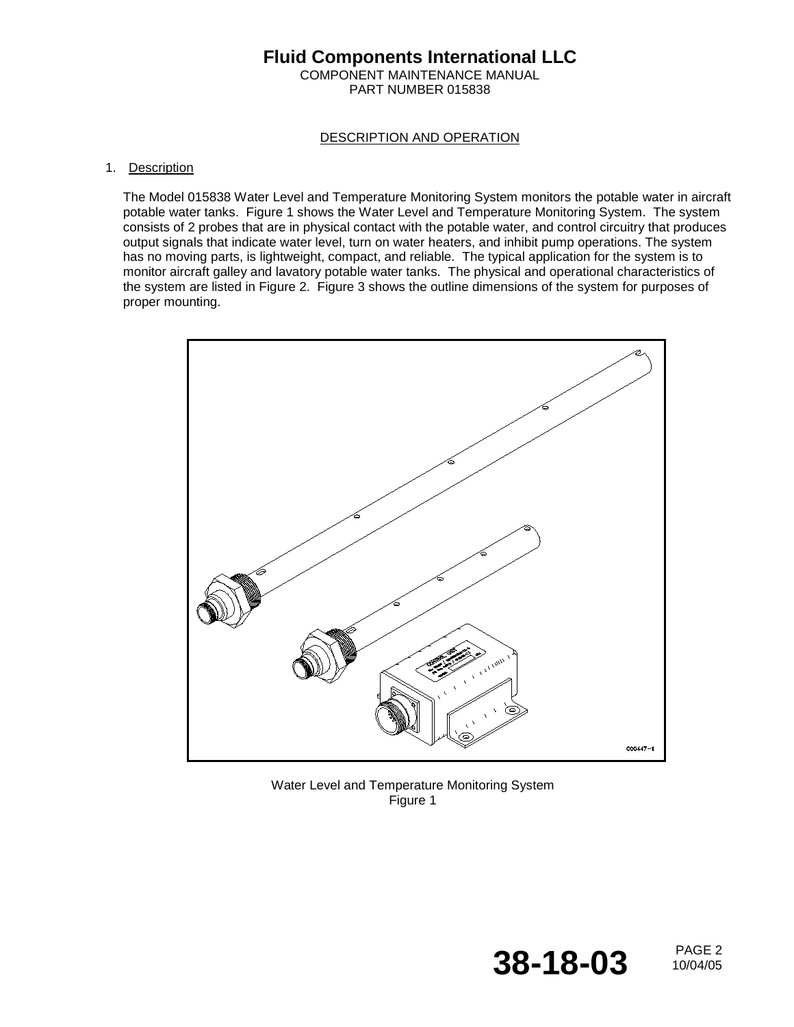COMPONENT MAINTENANCE MANUAL PART NUMBER 015838

#### DESCRIPTION AND OPERATION

#### <span id="page-15-0"></span>1. Description

The Model 015838 Water Level and Temperature Monitoring System monitors the potable water in aircraft potable water tanks. Figure 1 shows the Water Level and Temperature Monitoring System. The system consists of 2 probes that are in physical contact with the potable water, and control circuitry that produces output signals that indicate water level, turn on water heaters, and inhibit pump operations. The system has no moving parts, is lightweight, compact, and reliable. The typical application for the system is to monitor aircraft galley and lavatory potable water tanks. The physical and operational characteristics of the system are listed in Figure 2. Figure 3 shows the outline dimensions of the system for purposes of proper mounting.



Water Level and Temperature Monitoring System Figure 1

**38-18-03** 10/04/05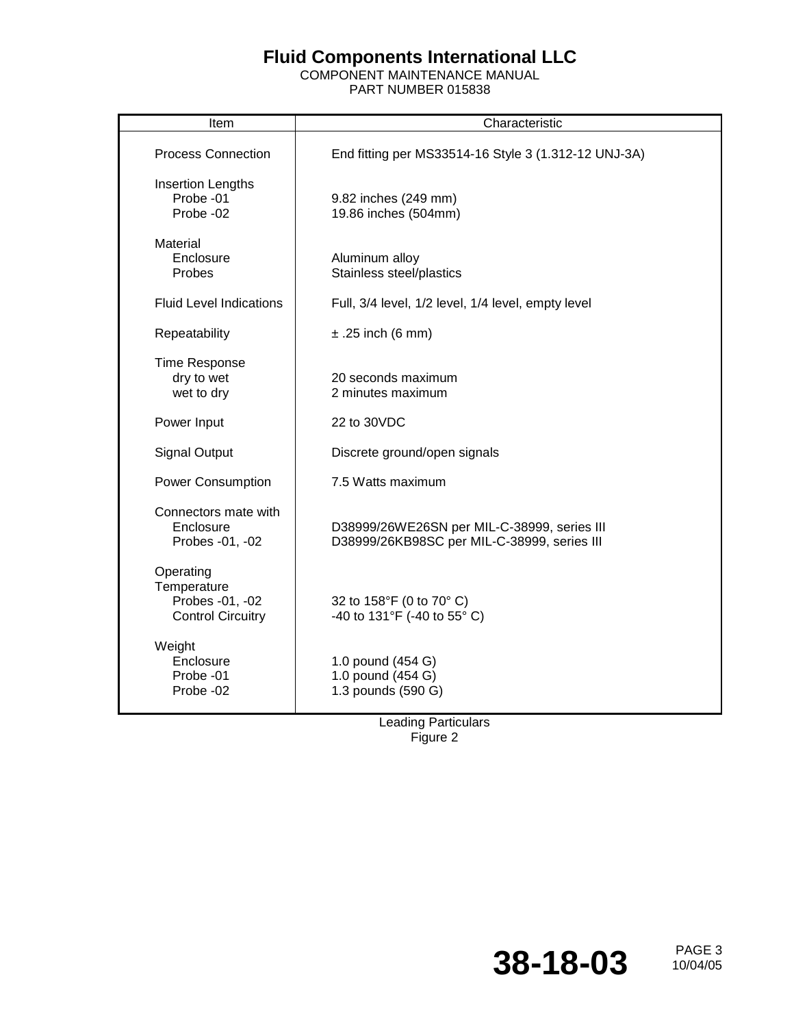COMPONENT MAINTENANCE MANUAL PART NUMBER 015838

| Item                                                                    | Characteristic                                                                             |
|-------------------------------------------------------------------------|--------------------------------------------------------------------------------------------|
| <b>Process Connection</b>                                               | End fitting per MS33514-16 Style 3 (1.312-12 UNJ-3A)                                       |
| <b>Insertion Lengths</b><br>Probe -01<br>Probe -02                      | 9.82 inches (249 mm)<br>19.86 inches (504mm)                                               |
| Material<br>Enclosure<br>Probes                                         | Aluminum alloy<br>Stainless steel/plastics                                                 |
| <b>Fluid Level Indications</b>                                          | Full, 3/4 level, 1/2 level, 1/4 level, empty level                                         |
| Repeatability                                                           | $\pm$ .25 inch (6 mm)                                                                      |
| Time Response<br>dry to wet<br>wet to dry                               | 20 seconds maximum<br>2 minutes maximum                                                    |
| Power Input                                                             | 22 to 30VDC                                                                                |
| <b>Signal Output</b>                                                    | Discrete ground/open signals                                                               |
| <b>Power Consumption</b>                                                | 7.5 Watts maximum                                                                          |
| Connectors mate with<br>Enclosure<br>Probes -01, -02                    | D38999/26WE26SN per MIL-C-38999, series III<br>D38999/26KB98SC per MIL-C-38999, series III |
| Operating<br>Temperature<br>Probes -01, -02<br><b>Control Circuitry</b> | 32 to 158°F (0 to 70° C)<br>-40 to 131°F (-40 to 55° C)                                    |
| Weight<br>Enclosure<br>Probe -01<br>Probe -02                           | 1.0 pound (454 G)<br>1.0 pound (454 G)<br>1.3 pounds (590 G)                               |
|                                                                         | <b>Leading Particulars</b>                                                                 |

Figure 2

**38-18-03 PAGE 3**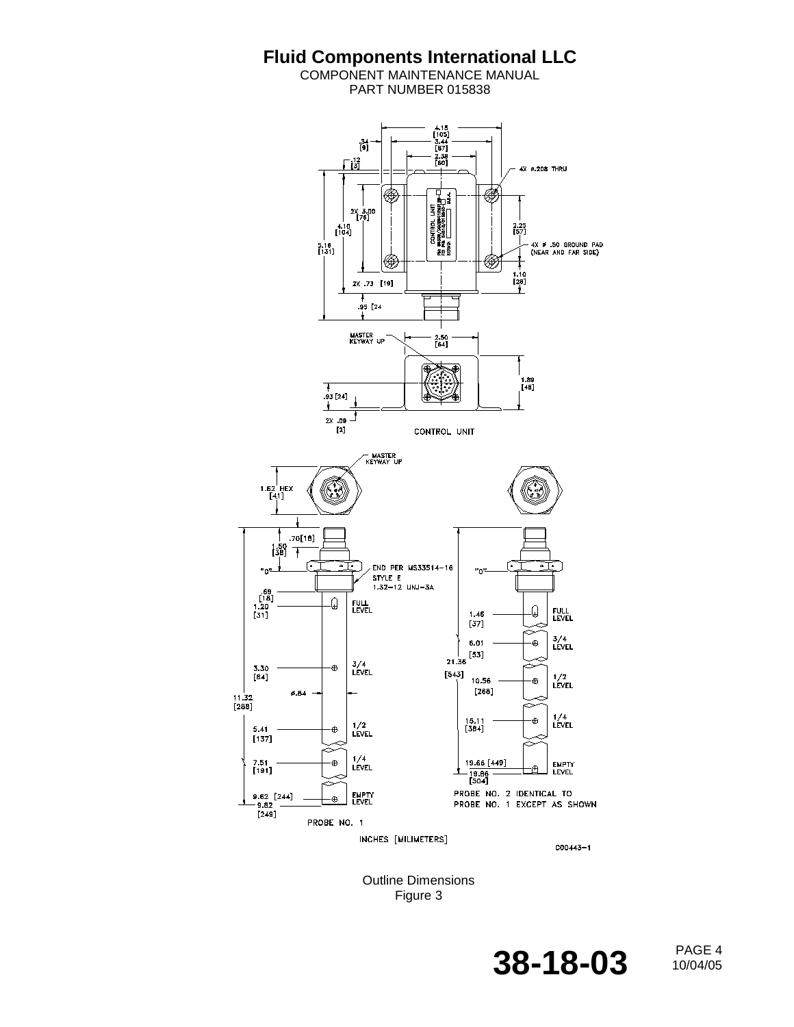COMPONENT MAINTENANCE MANUAL PART NUMBER 015838



Outline Dimensions Figure 3

**38-18-03** 

PAGE 4<br>10/04/05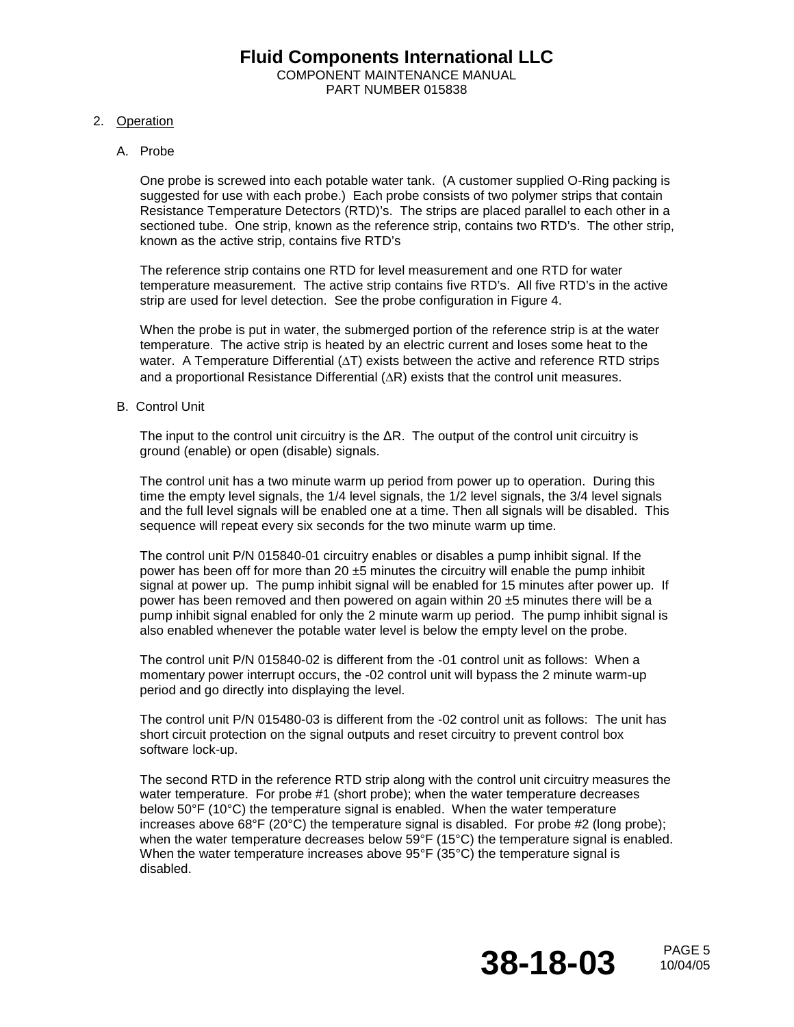#### COMPONENT MAINTENANCE MANUAL **Fluid Components International LLC**  PART NUMBER 015838

#### 2. Operation

#### A. Probe

 sectioned tube. One strip, known as the reference strip, contains two RTD's. The other strip, One probe is screwed into each potable water tank. (A customer supplied O-Ring packing is suggested for use with each probe.) Each probe consists of two polymer strips that contain Resistance Temperature Detectors (RTD)'s. The strips are placed parallel to each other in a known as the active strip, contains five RTD's

 temperature measurement. The active strip contains five RTD's. All five RTD's in the active The reference strip contains one RTD for level measurement and one RTD for water strip are used for level detection. See the probe configuration in Figure 4.

water. A Temperature Differential (∆T) exists between the active and reference RTD strips When the probe is put in water, the submerged portion of the reference strip is at the water temperature. The active strip is heated by an electric current and loses some heat to the and a proportional Resistance Differential  $(ΔR)$  exists that the control unit measures.

#### B. Control Unit

The input to the control unit circuitry is the  $\Delta R$ . The output of the control unit circuitry is ground (enable) or open (disable) signals.

 The control unit has a two minute warm up period from power up to operation. During this and the full level signals will be enabled one at a time. Then all signals will be disabled. This time the empty level signals, the 1/4 level signals, the 1/2 level signals, the 3/4 level signals sequence will repeat every six seconds for the two minute warm up time.

 The control unit P/N 015840-01 circuitry enables or disables a pump inhibit signal. If the power has been off for more than 20 ±5 minutes the circuitry will enable the pump inhibit signal at power up. The pump inhibit signal will be enabled for 15 minutes after power up. If also enabled whenever the potable water level is below the empty level on the probe. power has been removed and then powered on again within 20 ±5 minutes there will be a pump inhibit signal enabled for only the 2 minute warm up period. The pump inhibit signal is

 The control unit P/N 015840-02 is different from the -01 control unit as follows: When a momentary power interrupt occurs, the -02 control unit will bypass the 2 minute warm-up period and go directly into displaying the level.

 The control unit P/N 015480-03 is different from the -02 control unit as follows: The unit has short circuit protection on the signal outputs and reset circuitry to prevent control box software lock-up.

 below 50°F (10°C) the temperature signal is enabled. When the water temperature when the water temperature decreases below  $59^{\circ}F(15^{\circ}C)$  the temperature signal is enabled. The second RTD in the reference RTD strip along with the control unit circuitry measures the water temperature. For probe #1 (short probe); when the water temperature decreases increases above 68°F (20°C) the temperature signal is disabled. For probe #2 (long probe); When the water temperature increases above  $95^{\circ}F$  (35 $^{\circ}C$ ) the temperature signal is disabled.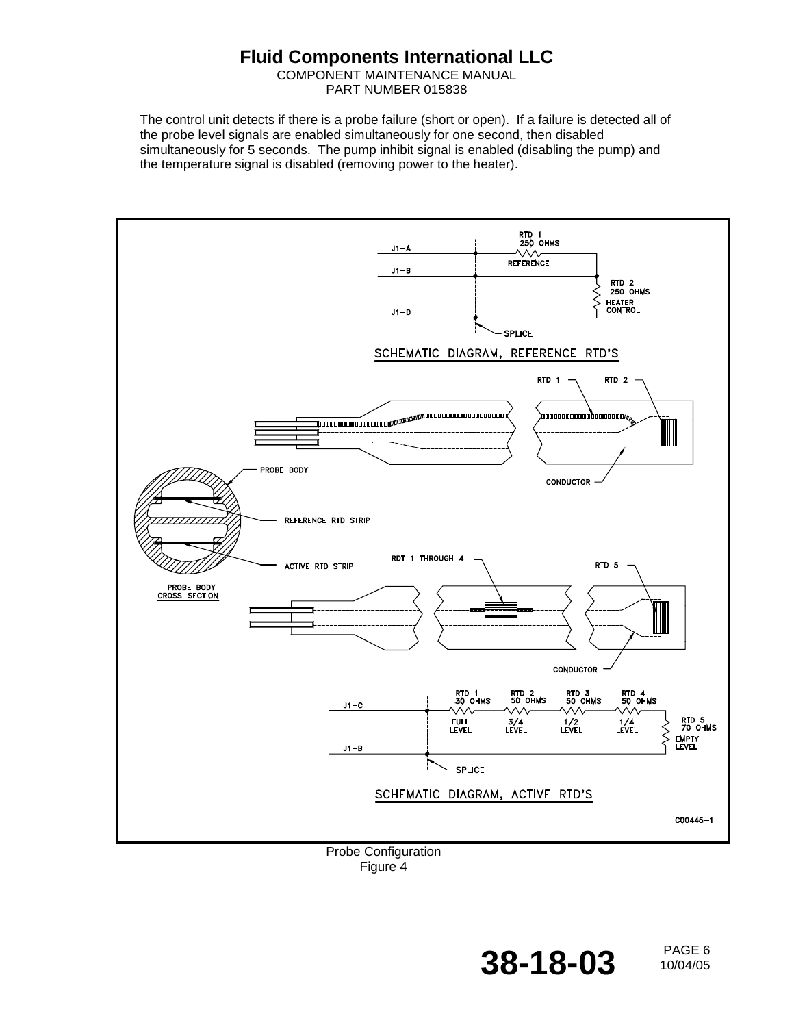COMPONENT MAINTENANCE MANUAL PART NUMBER 015838

The control unit detects if there is a probe failure (short or open). If a failure is detected all of the probe level signals are enabled simultaneously for one second, then disabled simultaneously for 5 seconds. The pump inhibit signal is enabled (disabling the pump) and the temperature signal is disabled (removing power to the heater).



Probe Configuration Figure 4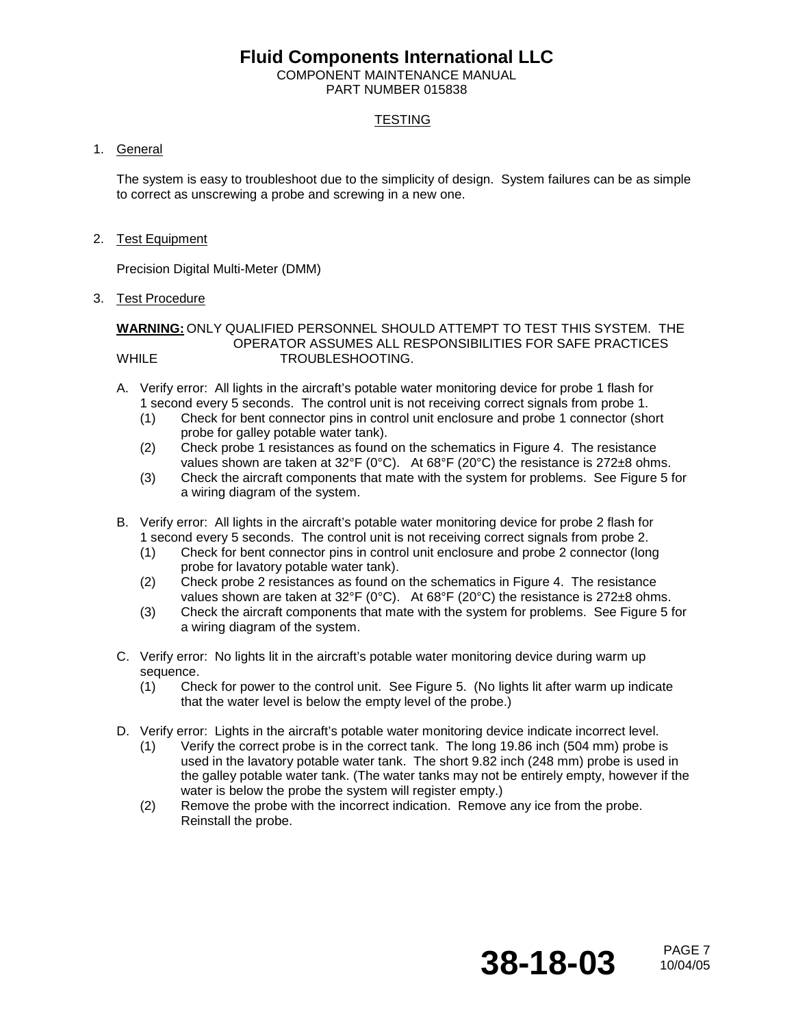COMPONENT MAINTENANCE MANUAL PART NUMBER 015838

#### **TESTING**

#### <span id="page-20-0"></span>1. General

 The system is easy to troubleshoot due to the simplicity of design. System failures can be as simple to correct as unscrewing a probe and screwing in a new one.

#### 2. Test Equipment

Precision Digital Multi-Meter (DMM)

3. Test Procedure

#### **WARNING:** ONLY QUALIFIED PERSONNEL SHOULD ATTEMPT TO TEST THIS SYSTEM. THE WHILE OPERATOR ASSUMES ALL RESPONSIBILITIES FOR SAFE PRACTICES TROUBLESHOOTING.

- A. Verify error: All lights in the aircraft's potable water monitoring device for probe 1 flash for 1 second every 5 seconds. The control unit is not receiving correct signals from probe 1.
	- (1) Check for bent connector pins in control unit enclosure and probe 1 connector (short probe for galley potable water tank).
	- values shown are taken at 32°F (0°C). At 68°F (20°C) the resistance is 272±8 ohms. (2) Check probe 1 resistances as found on the schematics in Figure 4. The resistance
	- (3) Check the aircraft components that mate with the system for problems. See Figure 5 for a wiring diagram of the system.
- B. Verify error: All lights in the aircraft's potable water monitoring device for probe 2 flash for 1 second every 5 seconds. The control unit is not receiving correct signals from probe 2.
	- (1) Check for bent connector pins in control unit enclosure and probe 2 connector (long probe for lavatory potable water tank).
	- values shown are taken at 32°F (0°C). At 68°F (20°C) the resistance is 272±8 ohms. (2) Check probe 2 resistances as found on the schematics in Figure 4. The resistance
	- (3) Check the aircraft components that mate with the system for problems. See Figure 5 for a wiring diagram of the system.
- C. Verify error: No lights lit in the aircraft's potable water monitoring device during warm up sequence.
	- (1) Check for power to the control unit. See Figure 5. (No lights lit after warm up indicate that the water level is below the empty level of the probe.)
- D. Verify error: Lights in the aircraft's potable water monitoring device indicate incorrect level.
	- the galley potable water tank. (The water tanks may not be entirely empty, however if the (1) Verify the correct probe is in the correct tank. The long 19.86 inch (504 mm) probe is used in the lavatory potable water tank. The short 9.82 inch (248 mm) probe is used in water is below the probe the system will register empty.)
	- (2) Remove the probe with the incorrect indication. Remove any ice from the probe. Reinstall the probe.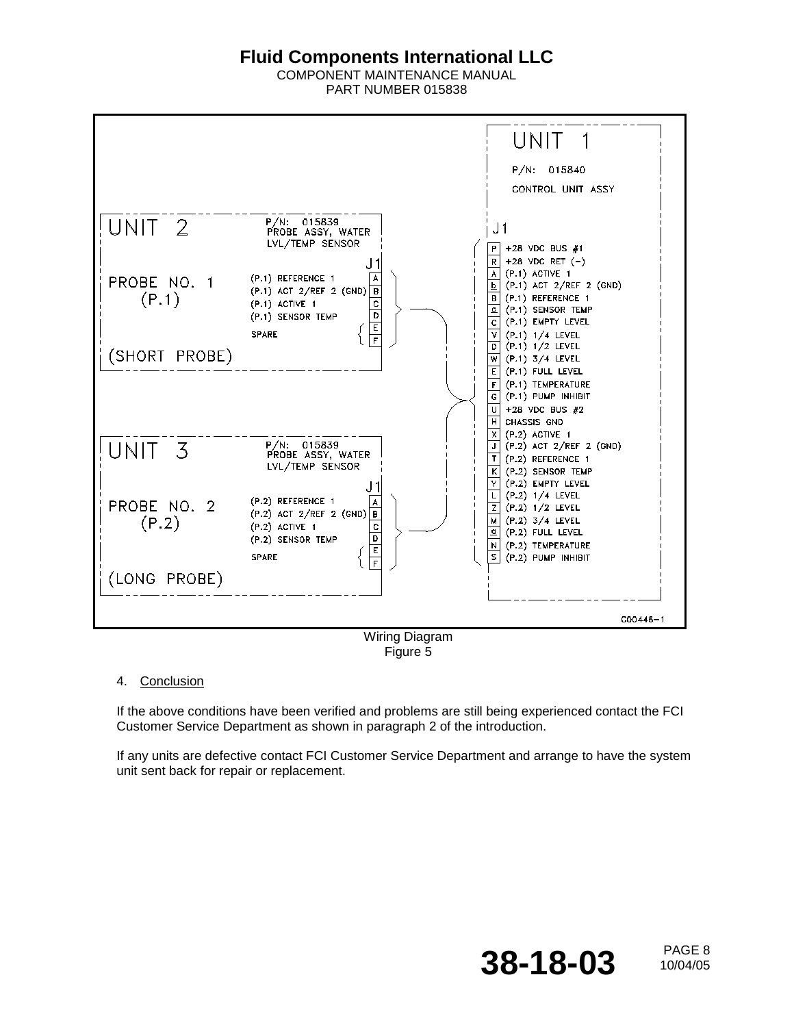COMPONENT MAINTENANCE MANUAL PART NUMBER 015838



Figure 5

#### 4. Conclusion

If the above conditions have been verified and problems are still being experienced contact the FCI Customer Service Department as shown in paragraph 2 of the introduction.

If any units are defective contact FCI Customer Service Department and arrange to have the system unit sent back for repair or replacement.

PAGE 8

**38-18-03** 10/04/05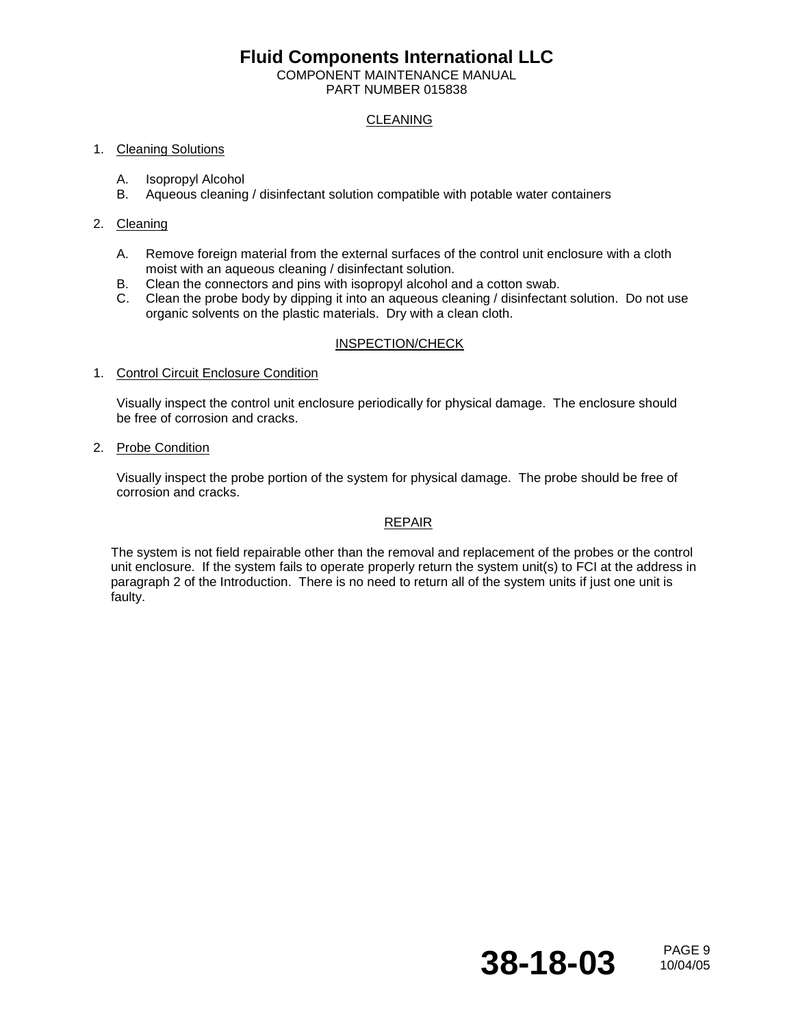COMPONENT MAINTENANCE MANUAL PART NUMBER 015838

#### CLEANING

#### <span id="page-22-0"></span>1. Cleaning Solutions

- A. Isopropyl Alcohol
- B. Aqueous cleaning / disinfectant solution compatible with potable water containers

#### 2. Cleaning

- A. Remove foreign material from the external surfaces of the control unit enclosure with a cloth moist with an aqueous cleaning / disinfectant solution.
- B. Clean the connectors and pins with isopropyl alcohol and a cotton swab.
- C. Clean the probe body by dipping it into an aqueous cleaning / disinfectant solution. Do not use organic solvents on the plastic materials. Dry with a clean cloth.<br>INSPECTION/CHECK

1. Control Circuit Enclosure Condition

Visually inspect the control unit enclosure periodically for physical damage. The enclosure should<br>be free of corrosion and cracks.

#### 2. Probe Condition

Visually inspect the probe portion of the system for physical damage. The probe should be free of corrosion and cracks.

#### REPAIR

The system is not field repairable other than the removal and replacement of the probes or the control unit enclosure. If the system fails to operate properly return the system unit(s) to FCI at the address in paragraph 2 of the Introduction. There is no need to return all of the system units if just one unit is faulty.

**38-18-03 10/04/05**